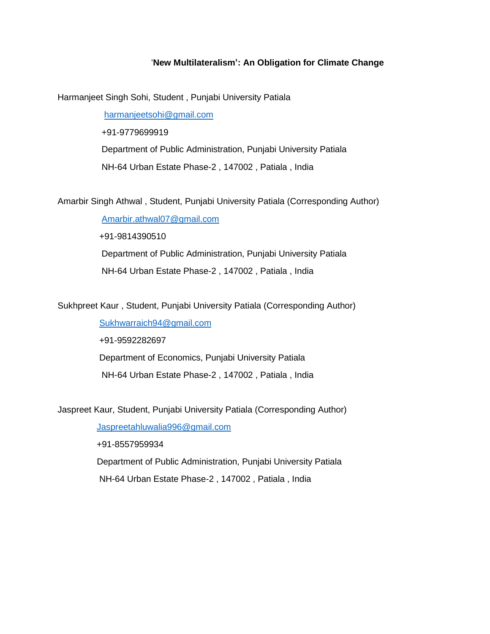## '**New Multilateralism': An Obligation for Climate Change**

Harmanjeet Singh Sohi, Student , Punjabi University Patiala

[harmanjeetsohi@gmail.com](mailto:harmanjeetsohi@gmail.com) +91-9779699919 Department of Public Administration, Punjabi University Patiala NH-64 Urban Estate Phase-2 , 147002 , Patiala , India

Amarbir Singh Athwal , Student, Punjabi University Patiala (Corresponding Author)

 [Amarbir.athwal07@gmail.com](mailto:Amarbir.athwal07@gmail.com) +91-9814390510 Department of Public Administration, Punjabi University Patiala NH-64 Urban Estate Phase-2 , 147002 , Patiala , India

Sukhpreet Kaur , Student, Punjabi University Patiala (Corresponding Author)

 [Sukhwarraich94@gmail.com](mailto:Sukhwarraich94@gmail.com) +91-9592282697 Department of Economics, Punjabi University Patiala NH-64 Urban Estate Phase-2 , 147002 , Patiala , India

Jaspreet Kaur, Student, Punjabi University Patiala (Corresponding Author)

[Jaspreetahluwalia996@gmail.com](mailto:Jaspreetahluwalia996@gmail.com)

 +91-8557959934 Department of Public Administration, Punjabi University Patiala NH-64 Urban Estate Phase-2 , 147002 , Patiala , India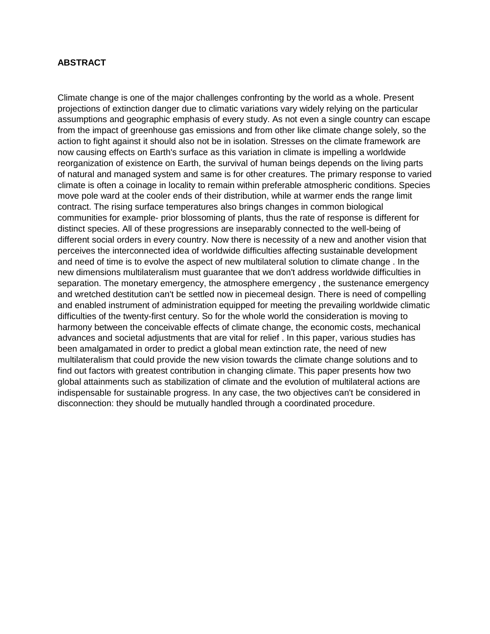### **ABSTRACT**

Climate change is one of the major challenges confronting by the world as a whole. Present projections of extinction danger due to climatic variations vary widely relying on the particular assumptions and geographic emphasis of every study. As not even a single country can escape from the impact of greenhouse gas emissions and from other like climate change solely, so the action to fight against it should also not be in isolation. Stresses on the climate framework are now causing effects on Earth's surface as this variation in climate is impelling a worldwide reorganization of existence on Earth, the survival of human beings depends on the living parts of natural and managed system and same is for other creatures. The primary response to varied climate is often a coinage in locality to remain within preferable atmospheric conditions. Species move pole ward at the cooler ends of their distribution, while at warmer ends the range limit contract. The rising surface temperatures also brings changes in common biological communities for example- prior blossoming of plants, thus the rate of response is different for distinct species. All of these progressions are inseparably connected to the well-being of different social orders in every country. Now there is necessity of a new and another vision that perceives the interconnected idea of worldwide difficulties affecting sustainable development and need of time is to evolve the aspect of new multilateral solution to climate change . In the new dimensions multilateralism must guarantee that we don't address worldwide difficulties in separation. The monetary emergency, the atmosphere emergency , the sustenance emergency and wretched destitution can't be settled now in piecemeal design. There is need of compelling and enabled instrument of administration equipped for meeting the prevailing worldwide climatic difficulties of the twenty-first century. So for the whole world the consideration is moving to harmony between the conceivable effects of climate change, the economic costs, mechanical advances and societal adjustments that are vital for relief . In this paper, various studies has been amalgamated in order to predict a global mean extinction rate, the need of new multilateralism that could provide the new vision towards the climate change solutions and to find out factors with greatest contribution in changing climate. This paper presents how two global attainments such as stabilization of climate and the evolution of multilateral actions are indispensable for sustainable progress. In any case, the two objectives can't be considered in disconnection: they should be mutually handled through a coordinated procedure.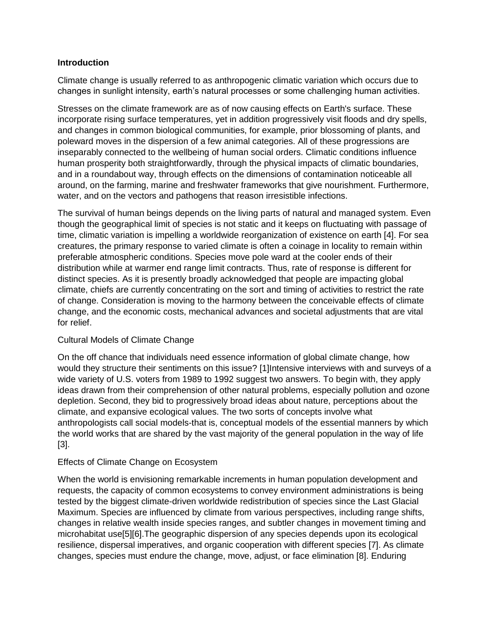# **Introduction**

Climate change is usually referred to as anthropogenic climatic variation which occurs due to changes in sunlight intensity, earth's natural processes or some challenging human activities.

Stresses on the climate framework are as of now causing effects on Earth's surface. These incorporate rising surface temperatures, yet in addition progressively visit floods and dry spells, and changes in common biological communities, for example, prior blossoming of plants, and poleward moves in the dispersion of a few animal categories. All of these progressions are inseparably connected to the wellbeing of human social orders. Climatic conditions influence human prosperity both straightforwardly, through the physical impacts of climatic boundaries, and in a roundabout way, through effects on the dimensions of contamination noticeable all around, on the farming, marine and freshwater frameworks that give nourishment. Furthermore, water, and on the vectors and pathogens that reason irresistible infections.

The survival of human beings depends on the living parts of natural and managed system. Even though the geographical limit of species is not static and it keeps on fluctuating with passage of time, climatic variation is impelling a worldwide reorganization of existence on earth [4]. For sea creatures, the primary response to varied climate is often a coinage in locality to remain within preferable atmospheric conditions. Species move pole ward at the cooler ends of their distribution while at warmer end range limit contracts. Thus, rate of response is different for distinct species. As it is presently broadly acknowledged that people are impacting global climate, chiefs are currently concentrating on the sort and timing of activities to restrict the rate of change. Consideration is moving to the harmony between the conceivable effects of climate change, and the economic costs, mechanical advances and societal adjustments that are vital for relief.

# Cultural Models of Climate Change

On the off chance that individuals need essence information of global climate change, how would they structure their sentiments on this issue? [1]Intensive interviews with and surveys of a wide variety of U.S. voters from 1989 to 1992 suggest two answers. To begin with, they apply ideas drawn from their comprehension of other natural problems, especially pollution and ozone depletion. Second, they bid to progressively broad ideas about nature, perceptions about the climate, and expansive ecological values. The two sorts of concepts involve what anthropologists call social models-that is, conceptual models of the essential manners by which the world works that are shared by the vast majority of the general population in the way of life [3].

# Effects of Climate Change on Ecosystem

When the world is envisioning remarkable increments in human population development and requests, the capacity of common ecosystems to convey environment administrations is being tested by the biggest climate-driven worldwide redistribution of species since the Last Glacial Maximum. Species are influenced by climate from various perspectives, including range shifts, changes in relative wealth inside species ranges, and subtler changes in movement timing and microhabitat use[5][6].The geographic dispersion of any species depends upon its ecological resilience, dispersal imperatives, and organic cooperation with different species [7]. As climate changes, species must endure the change, move, adjust, or face elimination [8]. Enduring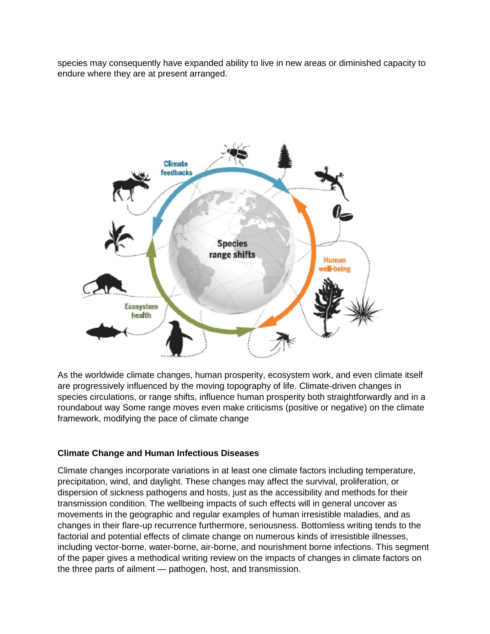species may consequently have expanded ability to live in new areas or diminished capacity to endure where they are at present arranged.



As the worldwide climate changes, human prosperity, ecosystem work, and even climate itself are progressively influenced by the moving topography of life. Climate-driven changes in species circulations, or range shifts, influence human prosperity both straightforwardly and in a roundabout way Some range moves even make criticisms (positive or negative) on the climate framework, modifying the pace of climate change

# **Climate Change and Human Infectious Diseases**

Climate changes incorporate variations in at least one climate factors including temperature, precipitation, wind, and daylight. These changes may affect the survival, proliferation, or dispersion of sickness pathogens and hosts, just as the accessibility and methods for their transmission condition. The wellbeing impacts of such effects will in general uncover as movements in the geographic and regular examples of human irresistible maladies, and as changes in their flare-up recurrence furthermore, seriousness. Bottomless writing tends to the factorial and potential effects of climate change on numerous kinds of irresistible illnesses, including vector-borne, water-borne, air-borne, and nourishment borne infections. This segment of the paper gives a methodical writing review on the impacts of changes in climate factors on the three parts of ailment — pathogen, host, and transmission.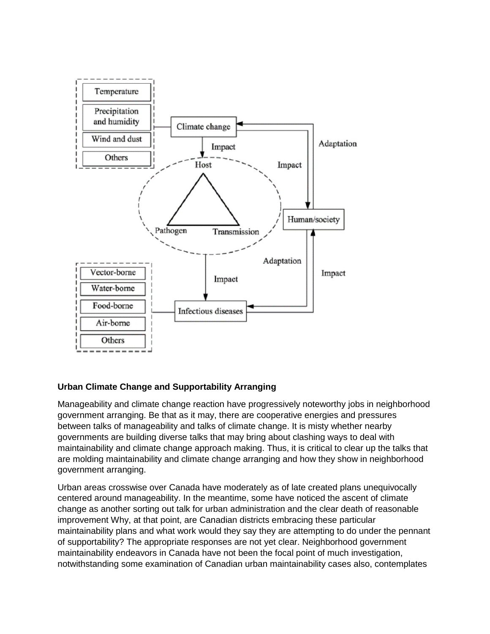

# **Urban Climate Change and Supportability Arranging**

Manageability and climate change reaction have progressively noteworthy jobs in neighborhood government arranging. Be that as it may, there are cooperative energies and pressures between talks of manageability and talks of climate change. It is misty whether nearby governments are building diverse talks that may bring about clashing ways to deal with maintainability and climate change approach making. Thus, it is critical to clear up the talks that are molding maintainability and climate change arranging and how they show in neighborhood government arranging.

Urban areas crosswise over Canada have moderately as of late created plans unequivocally centered around manageability. In the meantime, some have noticed the ascent of climate change as another sorting out talk for urban administration and the clear death of reasonable improvement Why, at that point, are Canadian districts embracing these particular maintainability plans and what work would they say they are attempting to do under the pennant of supportability? The appropriate responses are not yet clear. Neighborhood government maintainability endeavors in Canada have not been the focal point of much investigation, notwithstanding some examination of Canadian urban maintainability cases also, contemplates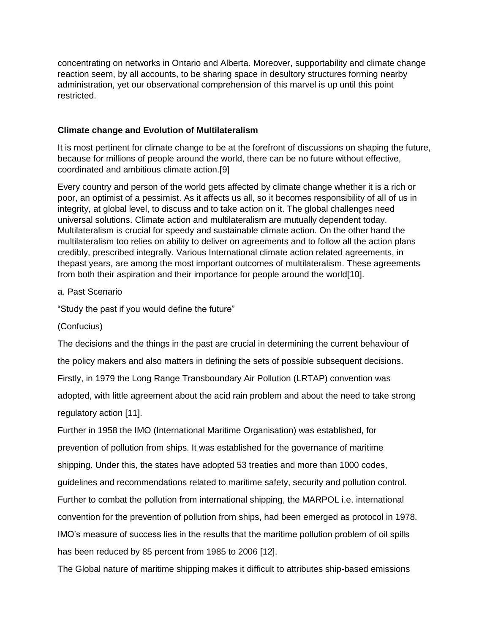concentrating on networks in Ontario and Alberta. Moreover, supportability and climate change reaction seem, by all accounts, to be sharing space in desultory structures forming nearby administration, yet our observational comprehension of this marvel is up until this point restricted.

# **Climate change and Evolution of Multilateralism**

It is most pertinent for climate change to be at the forefront of discussions on shaping the future, because for millions of people around the world, there can be no future without effective, coordinated and ambitious climate action.[9]

Every country and person of the world gets affected by climate change whether it is a rich or poor, an optimist of a pessimist. As it affects us all, so it becomes responsibility of all of us in integrity, at global level, to discuss and to take action on it. The global challenges need universal solutions. Climate action and multilateralism are mutually dependent today. Multilateralism is crucial for speedy and sustainable climate action. On the other hand the multilateralism too relies on ability to deliver on agreements and to follow all the action plans credibly, prescribed integrally. Various International climate action related agreements, in thepast years, are among the most important outcomes of multilateralism. These agreements from both their aspiration and their importance for people around the world[10].

# a. Past Scenario

"Study the past if you would define the future"

# (Confucius)

The decisions and the things in the past are crucial in determining the current behaviour of the policy makers and also matters in defining the sets of possible subsequent decisions.

Firstly, in 1979 the Long Range Transboundary Air Pollution (LRTAP) convention was adopted, with little agreement about the acid rain problem and about the need to take strong

regulatory action [11].

Further in 1958 the IMO (International Maritime Organisation) was established, for prevention of pollution from ships. It was established for the governance of maritime shipping. Under this, the states have adopted 53 treaties and more than 1000 codes, guidelines and recommendations related to maritime safety, security and pollution control. Further to combat the pollution from international shipping, the MARPOL i.e. international convention for the prevention of pollution from ships, had been emerged as protocol in 1978. IMO's measure of success lies in the results that the maritime pollution problem of oil spills has been reduced by 85 percent from 1985 to 2006 [12].

The Global nature of maritime shipping makes it difficult to attributes ship-based emissions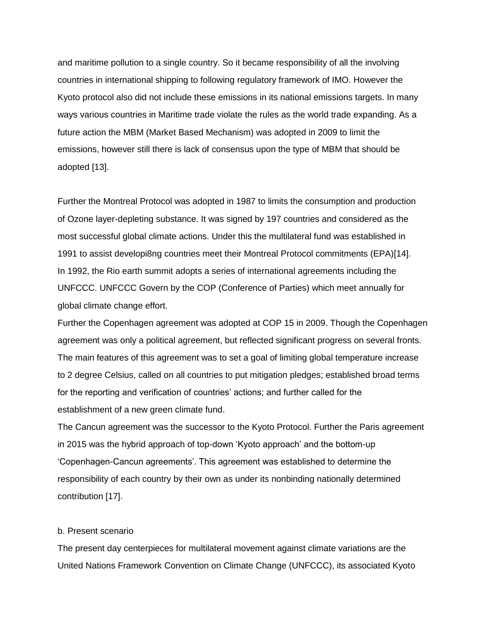and maritime pollution to a single country. So it became responsibility of all the involving countries in international shipping to following regulatory framework of IMO. However the Kyoto protocol also did not include these emissions in its national emissions targets. In many ways various countries in Maritime trade violate the rules as the world trade expanding. As a future action the MBM (Market Based Mechanism) was adopted in 2009 to limit the emissions, however still there is lack of consensus upon the type of MBM that should be adopted [13].

Further the Montreal Protocol was adopted in 1987 to limits the consumption and production of Ozone layer-depleting substance. It was signed by 197 countries and considered as the most successful global climate actions. Under this the multilateral fund was established in 1991 to assist developi8ng countries meet their Montreal Protocol commitments (EPA)[14]. In 1992, the Rio earth summit adopts a series of international agreements including the UNFCCC. UNFCCC Govern by the COP (Conference of Parties) which meet annually for global climate change effort.

Further the Copenhagen agreement was adopted at COP 15 in 2009. Though the Copenhagen agreement was only a political agreement, but reflected significant progress on several fronts. The main features of this agreement was to set a goal of limiting global temperature increase to 2 degree Celsius, called on all countries to put mitigation pledges; established broad terms for the reporting and verification of countries' actions; and further called for the establishment of a new green climate fund.

The Cancun agreement was the successor to the Kyoto Protocol. Further the Paris agreement in 2015 was the hybrid approach of top-down 'Kyoto approach' and the bottom-up 'Copenhagen-Cancun agreements'. This agreement was established to determine the responsibility of each country by their own as under its nonbinding nationally determined contribution [17].

#### b. Present scenario

The present day centerpieces for multilateral movement against climate variations are the United Nations Framework Convention on Climate Change (UNFCCC), its associated Kyoto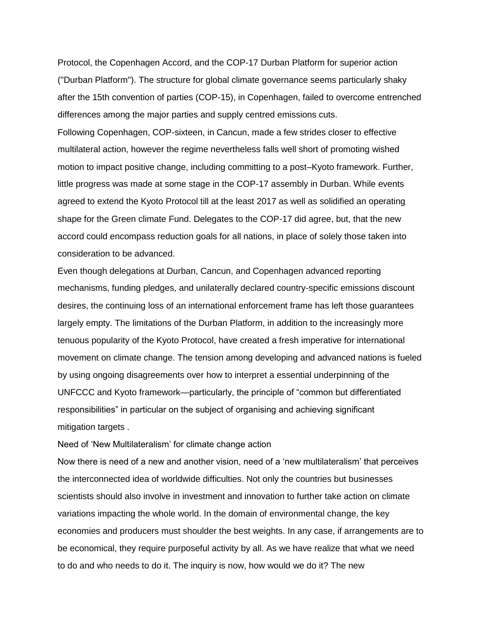Protocol, the Copenhagen Accord, and the COP-17 Durban Platform for superior action ("Durban Platform"). The structure for global climate governance seems particularly shaky after the 15th convention of parties (COP-15), in Copenhagen, failed to overcome entrenched differences among the major parties and supply centred emissions cuts.

Following Copenhagen, COP-sixteen, in Cancun, made a few strides closer to effective multilateral action, however the regime nevertheless falls well short of promoting wished motion to impact positive change, including committing to a post–Kyoto framework. Further, little progress was made at some stage in the COP-17 assembly in Durban. While events agreed to extend the Kyoto Protocol till at the least 2017 as well as solidified an operating shape for the Green climate Fund. Delegates to the COP-17 did agree, but, that the new accord could encompass reduction goals for all nations, in place of solely those taken into consideration to be advanced.

Even though delegations at Durban, Cancun, and Copenhagen advanced reporting mechanisms, funding pledges, and unilaterally declared country-specific emissions discount desires, the continuing loss of an international enforcement frame has left those guarantees largely empty. The limitations of the Durban Platform, in addition to the increasingly more tenuous popularity of the Kyoto Protocol, have created a fresh imperative for international movement on climate change. The tension among developing and advanced nations is fueled by using ongoing disagreements over how to interpret a essential underpinning of the UNFCCC and Kyoto framework—particularly, the principle of "common but differentiated responsibilities" in particular on the subject of organising and achieving significant mitigation targets .

Need of 'New Multilateralism' for climate change action

Now there is need of a new and another vision, need of a 'new multilateralism' that perceives the interconnected idea of worldwide difficulties. Not only the countries but businesses scientists should also involve in investment and innovation to further take action on climate variations impacting the whole world. In the domain of environmental change, the key economies and producers must shoulder the best weights. In any case, if arrangements are to be economical, they require purposeful activity by all. As we have realize that what we need to do and who needs to do it. The inquiry is now, how would we do it? The new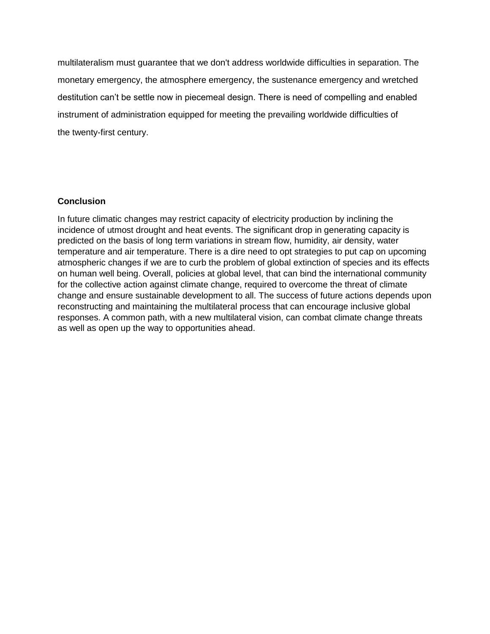multilateralism must guarantee that we don't address worldwide difficulties in separation. The monetary emergency, the atmosphere emergency, the sustenance emergency and wretched destitution can't be settle now in piecemeal design. There is need of compelling and enabled instrument of administration equipped for meeting the prevailing worldwide difficulties of the twenty-first century.

## **Conclusion**

In future climatic changes may restrict capacity of electricity production by inclining the incidence of utmost drought and heat events. The significant drop in generating capacity is predicted on the basis of long term variations in stream flow, humidity, air density, water temperature and air temperature. There is a dire need to opt strategies to put cap on upcoming atmospheric changes if we are to curb the problem of global extinction of species and its effects on human well being. Overall, policies at global level, that can bind the international community for the collective action against climate change, required to overcome the threat of climate change and ensure sustainable development to all. The success of future actions depends upon reconstructing and maintaining the multilateral process that can encourage inclusive global responses. A common path, with a new multilateral vision, can combat climate change threats as well as open up the way to opportunities ahead.